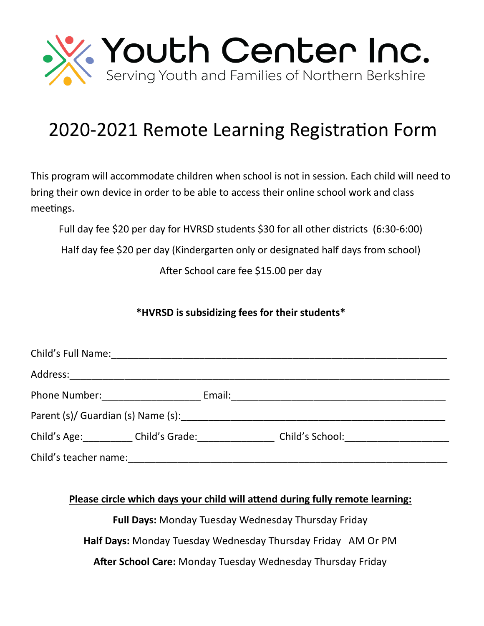

## 2020-2021 Remote Learning Registration Form

This program will accommodate children when school is not in session. Each child will need to bring their own device in order to be able to access their online school work and class meetings.

Full day fee \$20 per day for HVRSD students \$30 for all other districts (6:30-6:00)

Half day fee \$20 per day (Kindergarten only or designated half days from school)

After School care fee \$15.00 per day

## **\*HVRSD is subsidizing fees for their students\***

|                       | Child's Full Name: Manual Annual Annual Annual Annual Annual Annual Annual Annual Annual Annual Annual Annual |  |  |
|-----------------------|---------------------------------------------------------------------------------------------------------------|--|--|
|                       |                                                                                                               |  |  |
|                       | Phone Number: ____________________                                                                            |  |  |
|                       |                                                                                                               |  |  |
|                       | Child's Age: Child's Grade:                                                                                   |  |  |
| Child's teacher name: |                                                                                                               |  |  |

## **Please circle which days your child will attend during fully remote learning:**

**Full Days:** Monday Tuesday Wednesday Thursday Friday

**Half Days:** Monday Tuesday Wednesday Thursday Friday AM Or PM

**After School Care:** Monday Tuesday Wednesday Thursday Friday